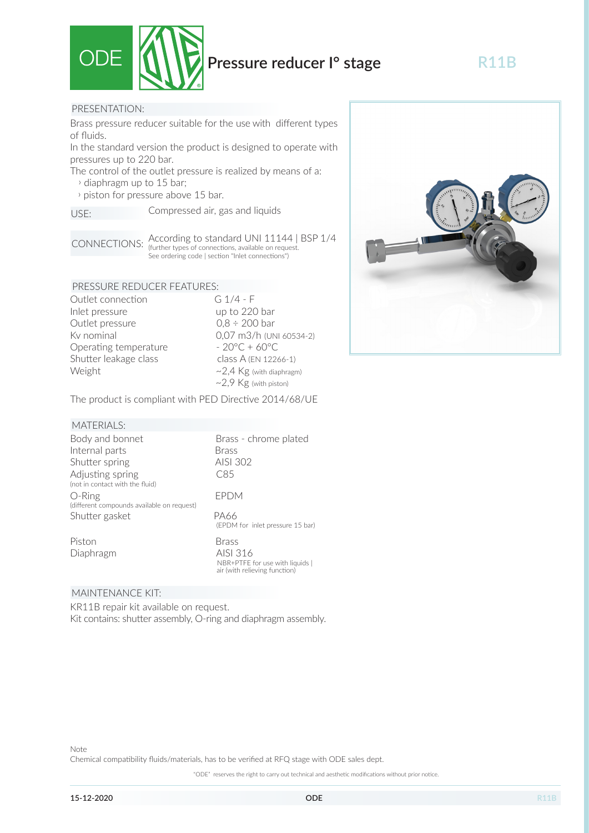

# **Pressure reducer I° stage**

## PRESENTATION:

Brass pressure reducer suitable for the use with different types of fluids.

In the standard version the product is designed to operate with pressures up to 220 bar.

The control of the outlet pressure is realized by means of a: › diaphragm up to 15 bar;

› piston for pressure above 15 bar.

Compressed air, gas and liquids USE:

According to standard UNI 11144 | BSP 1/4 (further types of connections, available on request. See ordering code | section "Inlet connections") CONNECTIONS:

# PRESSURE REDUCER FEATURES:

Outlet connection G 1/4 - F Inlet pressure up to 220 bar Outlet pressure  $0.8 \div 200$  bar Kv nominal 0,07 m3/h (UNI 60534-2) Operating temperature  $-20^{\circ}C + 60^{\circ}C$ Shutter leakage class class Class A (EN 12266-1) Weight  $\sim$  2,4 Kg (with diaphragm)

 $~2.9$  Kg (with piston)



**R11B**

The product is compliant with PED Directive 2014/68/UE

#### MATERIALS:

Body and bonnet Brass - chrome plated Internal parts Brass Shutter spring AISI 302 Adjusting spring C85 (not in contact with the fluid) O-Ring EPDM (different compounds available on request) Shutter gasket PA66

Piston Brass Diaphragm AISI 316

(EPDM for inlet pressure 15 bar)

NBR+PTFE for use with liquids | air (with relieving function)

## MAINTENANCE KIT:

KR11B repair kit available on request. Kit contains: shutter assembly, O-ring and diaphragm assembly.

"ODE" reserves the right to carry out technical and aesthetic modifications without prior notice.